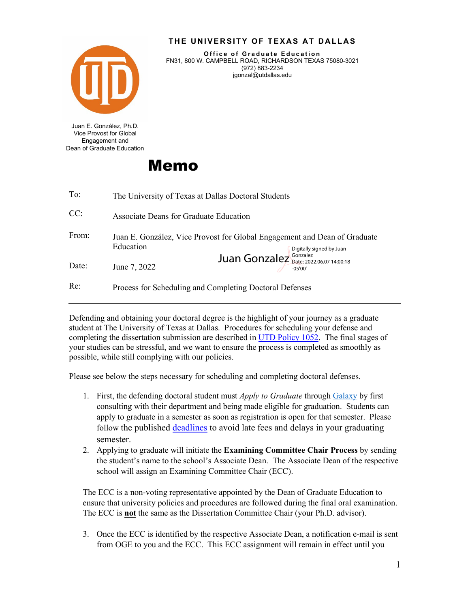

## **THE UNIVERSITY OF TEXAS AT DALLAS**

**Office of Graduate Education** FN31, 800 W. CAMPBELL ROAD, RICHARDSON TEXAS 75080-3021 (972) 883-2234 jgonzal@utdallas.edu

Juan E. González, Ph.D. Vice Provost for Global Engagement and Dean of Graduate Education

## Memo

| To:   | The University of Texas at Dallas Doctoral Students                                                                |                                                                      |
|-------|--------------------------------------------------------------------------------------------------------------------|----------------------------------------------------------------------|
| CC:   | Associate Deans for Graduate Education                                                                             |                                                                      |
| From: | Juan E. González, Vice Provost for Global Engagement and Dean of Graduate<br>Education<br>Digitally signed by Juan |                                                                      |
| Date: | June 7, 2022                                                                                                       | Juan Gonzalez <b>Sonzalez</b> Date: 2022.06.07 14:00:18<br>$-05'00'$ |
| Re:   | Process for Scheduling and Completing Doctoral Defenses                                                            |                                                                      |

Defending and obtaining your doctoral degree is the highlight of your journey as a graduate student at The University of Texas at Dallas. Procedures for scheduling your defense and completing the dissertation submission are described in [UTD Policy 1052.](https://policy.utdallas.edu/utdpp1052) The final stages of your studies can be stressful, and we want to ensure the process is completed as smoothly as possible, while still complying with our policies.

Please see below the steps necessary for scheduling and completing doctoral defenses.

- 1. First, the defending doctoral student must *Apply to Graduate* throug[h Galaxy](https://www.utdallas.edu/galaxy/) by first consulting with their department and being made eligible for graduation. Students can apply to graduate in a semester as soon as registration is open for that semester. Please follow the published [deadlines](https://registrar.utdallas.edu/graduation/) to avoid late fees and delays in your graduating semester.
- 2. Applying to graduate will initiate the **Examining Committee Chair Process** by sending the student's name to the school's Associate Dean. The Associate Dean of the respective school will assign an Examining Committee Chair (ECC).

The ECC is a non-voting representative appointed by the Dean of Graduate Education to ensure that university policies and procedures are followed during the final oral examination. The ECC is **not** the same as the Dissertation Committee Chair (your Ph.D. advisor).

3. Once the ECC is identified by the respective Associate Dean, a notification e-mail is sent from OGE to you and the ECC. This ECC assignment will remain in effect until you